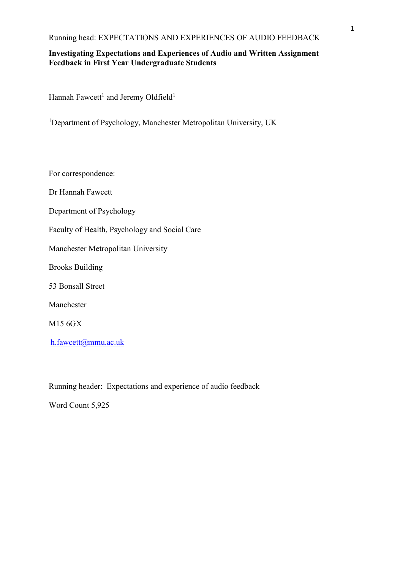# **Investigating Expectations and Experiences of Audio and Written Assignment Feedback in First Year Undergraduate Students**

Hannah Fawcett<sup>1</sup> and Jeremy Oldfield<sup>1</sup>

<sup>1</sup>Department of Psychology, Manchester Metropolitan University, UK

For correspondence:

Dr Hannah Fawcett

Department of Psychology

Faculty of Health, Psychology and Social Care

Manchester Metropolitan University

Brooks Building

53 Bonsall Street

Manchester

M15 6GX

[h.fawcett@mmu.ac.uk](mailto:h.fawcett@mmu.ac.uk)

Running header: Expectations and experience of audio feedback

Word Count 5,925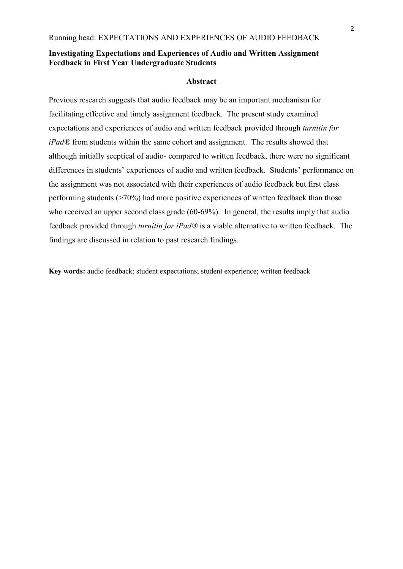# **Investigating Expectations and Experiences of Audio and Written Assignment Feedback in First Year Undergraduate Students**

### **Abstract**

Previous research suggests that audio feedback may be an important mechanism for facilitating effective and timely assignment feedback. The present study examined expectations and experiences of audio and written feedback provided through *turnitin for iPad®* from students within the same cohort and assignment. The results showed that although initially sceptical of audio- compared to written feedback, there were no significant differences in students' experiences of audio and written feedback. Students' performance on the assignment was not associated with their experiences of audio feedback but first class performing students (>70%) had more positive experiences of written feedback than those who received an upper second class grade (60-69%). In general, the results imply that audio feedback provided through *turnitin for iPad®* is a viable alternative to written feedback. The findings are discussed in relation to past research findings.

**Key words:** audio feedback; student expectations; student experience; written feedback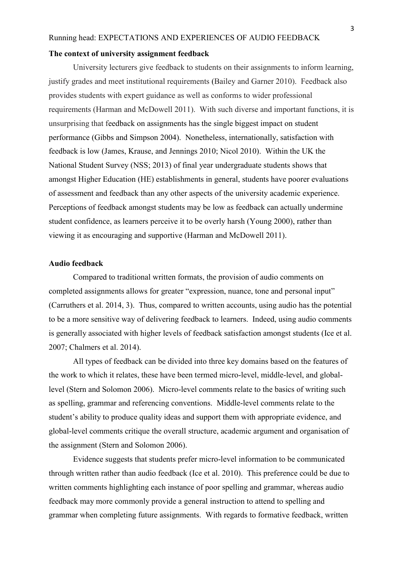### **The context of university assignment feedback**

University lecturers give feedback to students on their assignments to inform learning, justify grades and meet institutional requirements (Bailey and Garner 2010). Feedback also provides students with expert guidance as well as conforms to wider professional requirements (Harman and McDowell 2011). With such diverse and important functions, it is unsurprising that feedback on assignments has the single biggest impact on student performance (Gibbs and Simpson 2004). Nonetheless, internationally, satisfaction with feedback is low (James, Krause, and Jennings 2010; Nicol 2010). Within the UK the National Student Survey (NSS; 2013) of final year undergraduate students shows that amongst Higher Education (HE) establishments in general, students have poorer evaluations of assessment and feedback than any other aspects of the university academic experience. Perceptions of feedback amongst students may be low as feedback can actually undermine student confidence, as learners perceive it to be overly harsh (Young 2000), rather than viewing it as encouraging and supportive (Harman and McDowell 2011).

# **Audio feedback**

Compared to traditional written formats, the provision of audio comments on completed assignments allows for greater "expression, nuance, tone and personal input" (Carruthers et al. 2014, 3). Thus, compared to written accounts, using audio has the potential to be a more sensitive way of delivering feedback to learners. Indeed, using audio comments is generally associated with higher levels of feedback satisfaction amongst students (Ice et al. 2007; Chalmers et al. 2014).

All types of feedback can be divided into three key domains based on the features of the work to which it relates, these have been termed micro-level, middle-level, and globallevel (Stern and Solomon 2006). Micro-level comments relate to the basics of writing such as spelling, grammar and referencing conventions. Middle-level comments relate to the student's ability to produce quality ideas and support them with appropriate evidence, and global-level comments critique the overall structure, academic argument and organisation of the assignment (Stern and Solomon 2006).

Evidence suggests that students prefer micro-level information to be communicated through written rather than audio feedback (Ice et al. 2010). This preference could be due to written comments highlighting each instance of poor spelling and grammar, whereas audio feedback may more commonly provide a general instruction to attend to spelling and grammar when completing future assignments. With regards to formative feedback, written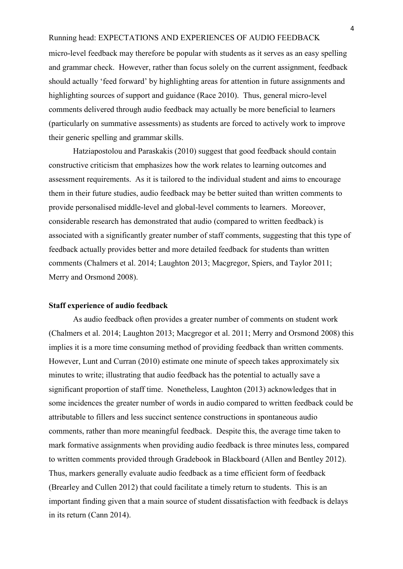micro-level feedback may therefore be popular with students as it serves as an easy spelling and grammar check. However, rather than focus solely on the current assignment, feedback should actually 'feed forward' by highlighting areas for attention in future assignments and highlighting sources of support and guidance (Race 2010). Thus, general micro-level comments delivered through audio feedback may actually be more beneficial to learners (particularly on summative assessments) as students are forced to actively work to improve their generic spelling and grammar skills.

Hatziapostolou and Paraskakis (2010) suggest that good feedback should contain constructive criticism that emphasizes how the work relates to learning outcomes and assessment requirements. As it is tailored to the individual student and aims to encourage them in their future studies, audio feedback may be better suited than written comments to provide personalised middle-level and global-level comments to learners. Moreover, considerable research has demonstrated that audio (compared to written feedback) is associated with a significantly greater number of staff comments, suggesting that this type of feedback actually provides better and more detailed feedback for students than written comments (Chalmers et al. 2014; Laughton 2013; Macgregor, Spiers, and Taylor 2011; Merry and Orsmond 2008).

### **Staff experience of audio feedback**

As audio feedback often provides a greater number of comments on student work (Chalmers et al. 2014; Laughton 2013; Macgregor et al. 2011; Merry and Orsmond 2008) this implies it is a more time consuming method of providing feedback than written comments. However, Lunt and Curran (2010) estimate one minute of speech takes approximately six minutes to write; illustrating that audio feedback has the potential to actually save a significant proportion of staff time. Nonetheless, Laughton (2013) acknowledges that in some incidences the greater number of words in audio compared to written feedback could be attributable to fillers and less succinct sentence constructions in spontaneous audio comments, rather than more meaningful feedback. Despite this, the average time taken to mark formative assignments when providing audio feedback is three minutes less, compared to written comments provided through Gradebook in Blackboard (Allen and Bentley 2012). Thus, markers generally evaluate audio feedback as a time efficient form of feedback (Brearley and Cullen 2012) that could facilitate a timely return to students. This is an important finding given that a main source of student dissatisfaction with feedback is delays in its return (Cann 2014).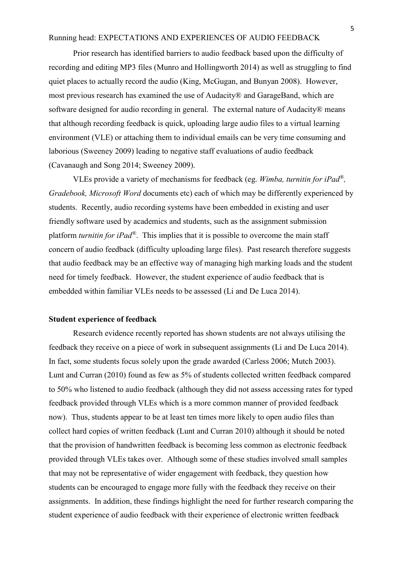Prior research has identified barriers to audio feedback based upon the difficulty of recording and editing MP3 files (Munro and Hollingworth 2014) as well as struggling to find quiet places to actually record the audio (King, McGugan, and Bunyan 2008). However, most previous research has examined the use of Audacity® and GarageBand, which are software designed for audio recording in general. The external nature of Audacity® means that although recording feedback is quick, uploading large audio files to a virtual learning environment (VLE) or attaching them to individual emails can be very time consuming and laborious (Sweeney 2009) leading to negative staff evaluations of audio feedback (Cavanaugh and Song 2014; Sweeney 2009).

VLEs provide a variety of mechanisms for feedback (eg. *Wimba, turnitin for iPad®, Gradebook, Microsoft Word* documents etc) each of which may be differently experienced by students. Recently, audio recording systems have been embedded in existing and user friendly software used by academics and students, such as the assignment submission platform *turnitin for iPad®*. This implies that it is possible to overcome the main staff concern of audio feedback (difficulty uploading large files). Past research therefore suggests that audio feedback may be an effective way of managing high marking loads and the student need for timely feedback. However, the student experience of audio feedback that is embedded within familiar VLEs needs to be assessed (Li and De Luca 2014).

# **Student experience of feedback**

Research evidence recently reported has shown students are not always utilising the feedback they receive on a piece of work in subsequent assignments (Li and De Luca 2014). In fact, some students focus solely upon the grade awarded (Carless 2006; Mutch 2003). Lunt and Curran (2010) found as few as 5% of students collected written feedback compared to 50% who listened to audio feedback (although they did not assess accessing rates for typed feedback provided through VLEs which is a more common manner of provided feedback now). Thus, students appear to be at least ten times more likely to open audio files than collect hard copies of written feedback (Lunt and Curran 2010) although it should be noted that the provision of handwritten feedback is becoming less common as electronic feedback provided through VLEs takes over. Although some of these studies involved small samples that may not be representative of wider engagement with feedback, they question how students can be encouraged to engage more fully with the feedback they receive on their assignments. In addition, these findings highlight the need for further research comparing the student experience of audio feedback with their experience of electronic written feedback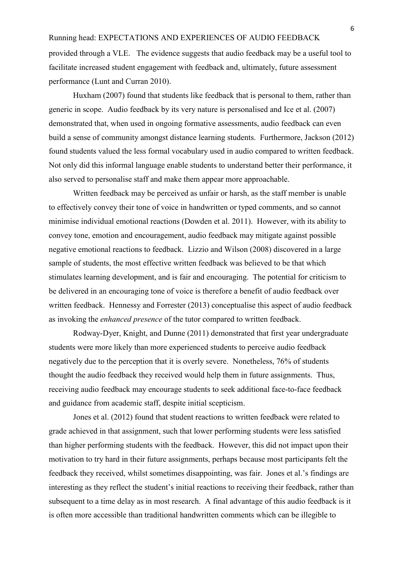provided through a VLE. The evidence suggests that audio feedback may be a useful tool to facilitate increased student engagement with feedback and, ultimately, future assessment performance (Lunt and Curran 2010).

Huxham (2007) found that students like feedback that is personal to them, rather than generic in scope. Audio feedback by its very nature is personalised and Ice et al. (2007) demonstrated that, when used in ongoing formative assessments, audio feedback can even build a sense of community amongst distance learning students. Furthermore, Jackson (2012) found students valued the less formal vocabulary used in audio compared to written feedback. Not only did this informal language enable students to understand better their performance, it also served to personalise staff and make them appear more approachable.

Written feedback may be perceived as unfair or harsh, as the staff member is unable to effectively convey their tone of voice in handwritten or typed comments, and so cannot minimise individual emotional reactions (Dowden et al. 2011). However, with its ability to convey tone, emotion and encouragement, audio feedback may mitigate against possible negative emotional reactions to feedback. Lizzio and Wilson (2008) discovered in a large sample of students, the most effective written feedback was believed to be that which stimulates learning development, and is fair and encouraging. The potential for criticism to be delivered in an encouraging tone of voice is therefore a benefit of audio feedback over written feedback. Hennessy and Forrester (2013) conceptualise this aspect of audio feedback as invoking the *enhanced presence* of the tutor compared to written feedback.

Rodway-Dyer, Knight, and Dunne (2011) demonstrated that first year undergraduate students were more likely than more experienced students to perceive audio feedback negatively due to the perception that it is overly severe. Nonetheless, 76% of students thought the audio feedback they received would help them in future assignments. Thus, receiving audio feedback may encourage students to seek additional face-to-face feedback and guidance from academic staff, despite initial scepticism.

Jones et al. (2012) found that student reactions to written feedback were related to grade achieved in that assignment, such that lower performing students were less satisfied than higher performing students with the feedback. However, this did not impact upon their motivation to try hard in their future assignments, perhaps because most participants felt the feedback they received, whilst sometimes disappointing, was fair. Jones et al.'s findings are interesting as they reflect the student's initial reactions to receiving their feedback, rather than subsequent to a time delay as in most research. A final advantage of this audio feedback is it is often more accessible than traditional handwritten comments which can be illegible to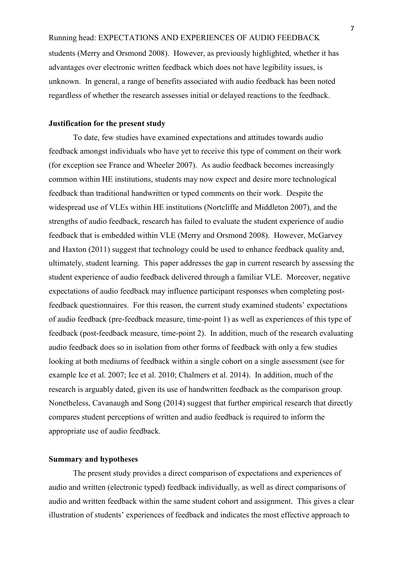students (Merry and Orsmond 2008). However, as previously highlighted, whether it has advantages over electronic written feedback which does not have legibility issues, is unknown. In general, a range of benefits associated with audio feedback has been noted regardless of whether the research assesses initial or delayed reactions to the feedback.

# **Justification for the present study**

To date, few studies have examined expectations and attitudes towards audio feedback amongst individuals who have yet to receive this type of comment on their work (for exception see France and Wheeler 2007). As audio feedback becomes increasingly common within HE institutions, students may now expect and desire more technological feedback than traditional handwritten or typed comments on their work. Despite the widespread use of VLEs within HE institutions (Nortcliffe and Middleton 2007), and the strengths of audio feedback, research has failed to evaluate the student experience of audio feedback that is embedded within VLE (Merry and Orsmond 2008). However, McGarvey and Haxton (2011) suggest that technology could be used to enhance feedback quality and, ultimately, student learning. This paper addresses the gap in current research by assessing the student experience of audio feedback delivered through a familiar VLE. Moreover, negative expectations of audio feedback may influence participant responses when completing postfeedback questionnaires. For this reason, the current study examined students' expectations of audio feedback (pre-feedback measure, time-point 1) as well as experiences of this type of feedback (post-feedback measure, time-point 2). In addition, much of the research evaluating audio feedback does so in isolation from other forms of feedback with only a few studies looking at both mediums of feedback within a single cohort on a single assessment (see for example Ice et al. 2007; Ice et al. 2010; Chalmers et al. 2014). In addition, much of the research is arguably dated, given its use of handwritten feedback as the comparison group. Nonetheless, Cavanaugh and Song (2014) suggest that further empirical research that directly compares student perceptions of written and audio feedback is required to inform the appropriate use of audio feedback.

### **Summary and hypotheses**

The present study provides a direct comparison of expectations and experiences of audio and written (electronic typed) feedback individually, as well as direct comparisons of audio and written feedback within the same student cohort and assignment. This gives a clear illustration of students' experiences of feedback and indicates the most effective approach to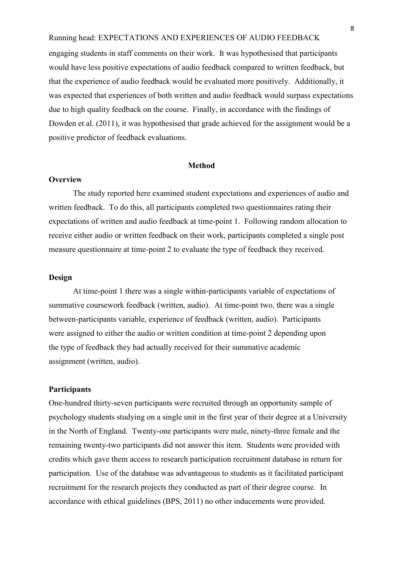engaging students in staff comments on their work. It was hypothesised that participants would have less positive expectations of audio feedback compared to written feedback, but that the experience of audio feedback would be evaluated more positively. Additionally, it was expected that experiences of both written and audio feedback would surpass expectations due to high quality feedback on the course. Finally, in accordance with the findings of Dowden et al. (2011), it was hypothesised that grade achieved for the assignment would be a positive predictor of feedback evaluations.

#### **Method**

### **Overview**

The study reported here examined student expectations and experiences of audio and written feedback. To do this, all participants completed two questionnaires rating their expectations of written and audio feedback at time-point 1. Following random allocation to receive either audio or written feedback on their work, participants completed a single post measure questionnaire at time-point 2 to evaluate the type of feedback they received.

# **Design**

At time-point 1 there was a single within-participants variable of expectations of summative coursework feedback (written, audio). At time-point two, there was a single between-participants variable, experience of feedback (written, audio). Participants were assigned to either the audio or written condition at time-point 2 depending upon the type of feedback they had actually received for their summative academic assignment (written, audio).

# **Participants**

One-hundred thirty-seven participants were recruited through an opportunity sample of psychology students studying on a single unit in the first year of their degree at a University in the North of England. Twenty-one participants were male, ninety-three female and the remaining twenty-two participants did not answer this item. Students were provided with credits which gave them access to research participation recruitment database in return for participation. Use of the database was advantageous to students as it facilitated participant recruitment for the research projects they conducted as part of their degree course. In accordance with ethical guidelines (BPS, 2011) no other inducements were provided.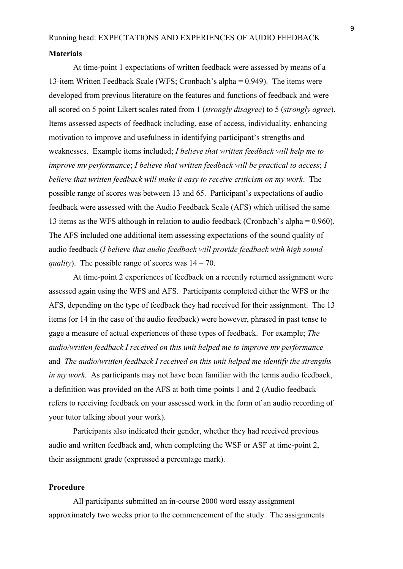#### **Materials**

At time-point 1 expectations of written feedback were assessed by means of a 13-item Written Feedback Scale (WFS; Cronbach's alpha = 0.949). The items were developed from previous literature on the features and functions of feedback and were all scored on 5 point Likert scales rated from 1 (*strongly disagree*) to 5 (*strongly agree*). Items assessed aspects of feedback including, ease of access, individuality, enhancing motivation to improve and usefulness in identifying participant's strengths and weaknesses. Example items included; *I believe that written feedback will help me to improve my performance*; *I believe that written feedback will be practical to access*; *I believe that written feedback will make it easy to receive criticism on my work*. The possible range of scores was between 13 and 65. Participant's expectations of audio feedback were assessed with the Audio Feedback Scale (AFS) which utilised the same 13 items as the WFS although in relation to audio feedback (Cronbach's alpha = 0.960). The AFS included one additional item assessing expectations of the sound quality of audio feedback (*I believe that audio feedback will provide feedback with high sound quality*). The possible range of scores was 14 – 70.

At time-point 2 experiences of feedback on a recently returned assignment were assessed again using the WFS and AFS. Participants completed either the WFS or the AFS, depending on the type of feedback they had received for their assignment. The 13 items (or 14 in the case of the audio feedback) were however, phrased in past tense to gage a measure of actual experiences of these types of feedback. For example; *The audio/written feedback I received on this unit helped me to improve my performance* and *The audio/written feedback I received on this unit helped me identify the strengths in my work.* As participants may not have been familiar with the terms audio feedback, a definition was provided on the AFS at both time-points 1 and 2 (Audio feedback refers to receiving feedback on your assessed work in the form of an audio recording of your tutor talking about your work).

Participants also indicated their gender, whether they had received previous audio and written feedback and, when completing the WSF or ASF at time-point 2, their assignment grade (expressed a percentage mark).

# **Procedure**

All participants submitted an in-course 2000 word essay assignment approximately two weeks prior to the commencement of the study. The assignments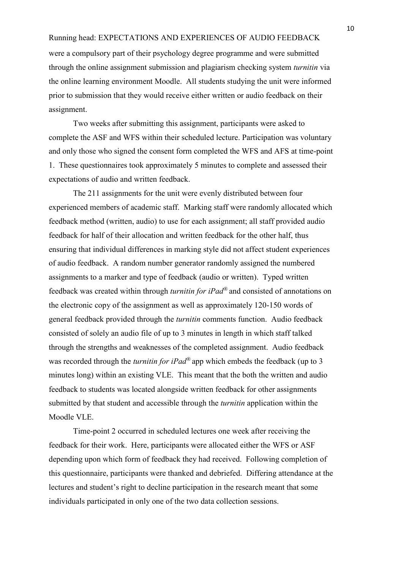were a compulsory part of their psychology degree programme and were submitted through the online assignment submission and plagiarism checking system *turnitin* via the online learning environment Moodle. All students studying the unit were informed prior to submission that they would receive either written or audio feedback on their assignment.

Two weeks after submitting this assignment, participants were asked to complete the ASF and WFS within their scheduled lecture. Participation was voluntary and only those who signed the consent form completed the WFS and AFS at time-point 1. These questionnaires took approximately 5 minutes to complete and assessed their expectations of audio and written feedback.

The 211 assignments for the unit were evenly distributed between four experienced members of academic staff. Marking staff were randomly allocated which feedback method (written, audio) to use for each assignment; all staff provided audio feedback for half of their allocation and written feedback for the other half, thus ensuring that individual differences in marking style did not affect student experiences of audio feedback. A random number generator randomly assigned the numbered assignments to a marker and type of feedback (audio or written). Typed written feedback was created within through *turnitin for iPad®* and consisted of annotations on the electronic copy of the assignment as well as approximately 120-150 words of general feedback provided through the *turnitin* comments function. Audio feedback consisted of solely an audio file of up to 3 minutes in length in which staff talked through the strengths and weaknesses of the completed assignment. Audio feedback was recorded through the *turnitin for iPad®* app which embeds the feedback (up to 3 minutes long) within an existing VLE. This meant that the both the written and audio feedback to students was located alongside written feedback for other assignments submitted by that student and accessible through the *turnitin* application within the Moodle VLE.

Time-point 2 occurred in scheduled lectures one week after receiving the feedback for their work. Here, participants were allocated either the WFS or ASF depending upon which form of feedback they had received. Following completion of this questionnaire, participants were thanked and debriefed. Differing attendance at the lectures and student's right to decline participation in the research meant that some individuals participated in only one of the two data collection sessions.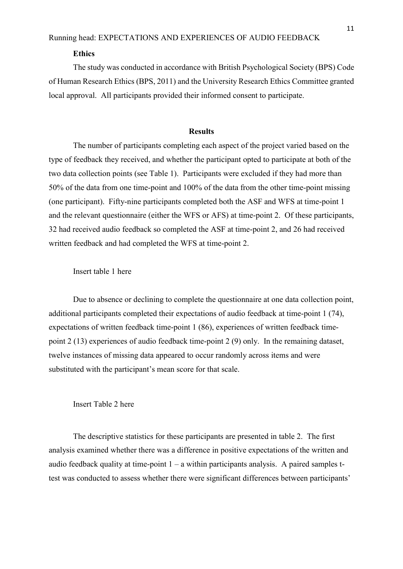#### **Ethics**

The study was conducted in accordance with British Psychological Society (BPS) Code of Human Research Ethics (BPS, 2011) and the University Research Ethics Committee granted local approval. All participants provided their informed consent to participate.

#### **Results**

The number of participants completing each aspect of the project varied based on the type of feedback they received, and whether the participant opted to participate at both of the two data collection points (see Table 1). Participants were excluded if they had more than 50% of the data from one time-point and 100% of the data from the other time-point missing (one participant). Fifty-nine participants completed both the ASF and WFS at time-point 1 and the relevant questionnaire (either the WFS or AFS) at time-point 2. Of these participants, 32 had received audio feedback so completed the ASF at time-point 2, and 26 had received written feedback and had completed the WFS at time-point 2.

#### Insert table 1 here

Due to absence or declining to complete the questionnaire at one data collection point, additional participants completed their expectations of audio feedback at time-point 1 (74), expectations of written feedback time-point 1 (86), experiences of written feedback timepoint 2 (13) experiences of audio feedback time-point 2 (9) only. In the remaining dataset, twelve instances of missing data appeared to occur randomly across items and were substituted with the participant's mean score for that scale.

### Insert Table 2 here

The descriptive statistics for these participants are presented in table 2. The first analysis examined whether there was a difference in positive expectations of the written and audio feedback quality at time-point  $1 - a$  within participants analysis. A paired samples ttest was conducted to assess whether there were significant differences between participants'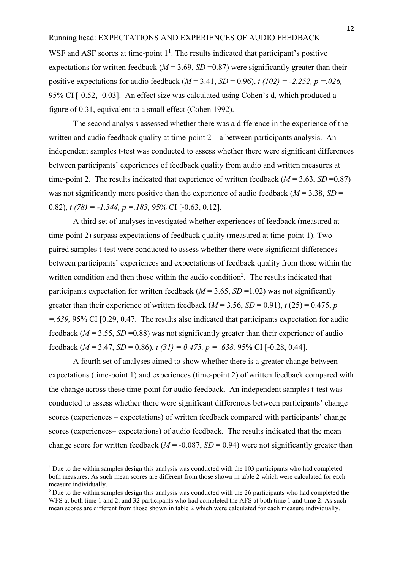WSF and ASF scores at time-point  $1<sup>1</sup>$ . The results indicated that participant's positive expectations for written feedback ( $M = 3.69$ ,  $SD = 0.87$ ) were significantly greater than their positive expectations for audio feedback  $(M = 3.41, SD = 0.96)$ ,  $t(102) = -2.252$ ,  $p = 0.026$ , 95% CI [-0.52, -0.03]. An effect size was calculated using Cohen's d, which produced a figure of 0.31, equivalent to a small effect (Cohen 1992).

The second analysis assessed whether there was a difference in the experience of the written and audio feedback quality at time-point 2 – a between participants analysis. An independent samples t-test was conducted to assess whether there were significant differences between participants' experiences of feedback quality from audio and written measures at time-point 2. The results indicated that experience of written feedback ( $M = 3.63$ ,  $SD = 0.87$ ) was not significantly more positive than the experience of audio feedback ( $M = 3.38$ ,  $SD =$ 0.82), *t (78) = -1.344, p =.183,* 95% CI [-0.63, 0.12]*.*

A third set of analyses investigated whether experiences of feedback (measured at time-point 2) surpass expectations of feedback quality (measured at time-point 1). Two paired samples t-test were conducted to assess whether there were significant differences between participants' experiences and expectations of feedback quality from those within the written condition and then those within the audio condition<sup>2</sup>. The results indicated that participants expectation for written feedback ( $M = 3.65$ ,  $SD = 1.02$ ) was not significantly greater than their experience of written feedback ( $M = 3.56$ ,  $SD = 0.91$ ),  $t(25) = 0.475$ , *p =.639,* 95% CI [0.29, 0.47. The results also indicated that participants expectation for audio feedback ( $M = 3.55$ ,  $SD = 0.88$ ) was not significantly greater than their experience of audio feedback ( $M = 3.47$ ,  $SD = 0.86$ ),  $t(31) = 0.475$ ,  $p = .638$ , 95% CI [-0.28, 0.44].

A fourth set of analyses aimed to show whether there is a greater change between expectations (time-point 1) and experiences (time-point 2) of written feedback compared with the change across these time-point for audio feedback. An independent samples t-test was conducted to assess whether there were significant differences between participants' change scores (experiences – expectations) of written feedback compared with participants' change scores (experiences– expectations) of audio feedback. The results indicated that the mean change score for written feedback ( $M = -0.087$ ,  $SD = 0.94$ ) were not significantly greater than

**.** 

<sup>&</sup>lt;sup>1</sup> Due to the within samples design this analysis was conducted with the 103 participants who had completed both measures. As such mean scores are different from those shown in table 2 which were calculated for each measure individually.

<sup>&</sup>lt;sup>2</sup> Due to the within samples design this analysis was conducted with the 26 participants who had completed the WFS at both time 1 and 2, and 32 participants who had completed the AFS at both time 1 and time 2. As such mean scores are different from those shown in table 2 which were calculated for each measure individually.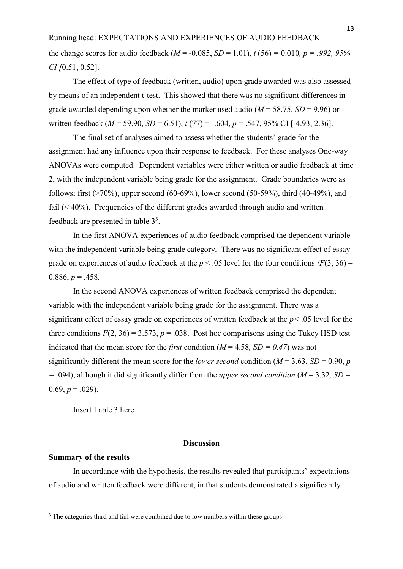Running head: EXPECTATIONS AND EXPERIENCES OF AUDIO FEEDBACK the change scores for audio feedback ( $M = -0.085$ ,  $SD = 1.01$ ),  $t (56) = 0.010$ ,  $p = .992$ ,  $95\%$ *CI [*0.51, 0.52].

The effect of type of feedback (written, audio) upon grade awarded was also assessed by means of an independent t-test. This showed that there was no significant differences in grade awarded depending upon whether the marker used audio ( $M = 58.75$ ,  $SD = 9.96$ ) or written feedback (*M* = 59.90, *SD* = 6.51), *t* (77) = -.604, *p* = .547, 95% CI [-4.93, 2.36].

The final set of analyses aimed to assess whether the students' grade for the assignment had any influence upon their response to feedback. For these analyses One-way ANOVAs were computed. Dependent variables were either written or audio feedback at time 2, with the independent variable being grade for the assignment. Grade boundaries were as follows; first (>70%), upper second (60-69%), lower second (50-59%), third (40-49%), and fail  $( $40\%$ )$ . Frequencies of the different grades awarded through audio and written feedback are presented in table  $3<sup>3</sup>$ .

In the first ANOVA experiences of audio feedback comprised the dependent variable with the independent variable being grade category. There was no significant effect of essay grade on experiences of audio feedback at the  $p < .05$  level for the four conditions  $(F(3, 36))$  = 0.886,  $p = .458$ .

In the second ANOVA experiences of written feedback comprised the dependent variable with the independent variable being grade for the assignment. There was a significant effect of essay grade on experiences of written feedback at the *p<* .05 level for the three conditions  $F(2, 36) = 3.573$ ,  $p = .038$ . Post hoc comparisons using the Tukey HSD test indicated that the mean score for the *first* condition ( $M = 4.58$ ,  $SD = 0.47$ ) was not significantly different the mean score for the *lower second* condition ( $M = 3.63$ ,  $SD = 0.90$ , *p =* .094), although it did significantly differ from the *upper second condition* (*M* = 3.32*, SD* = 0.69,  $p = .029$ ).

Insert Table 3 here

# **Discussion**

# **Summary of the results**

**.** 

In accordance with the hypothesis, the results revealed that participants' expectations of audio and written feedback were different, in that students demonstrated a significantly

<sup>&</sup>lt;sup>3</sup> The categories third and fail were combined due to low numbers within these groups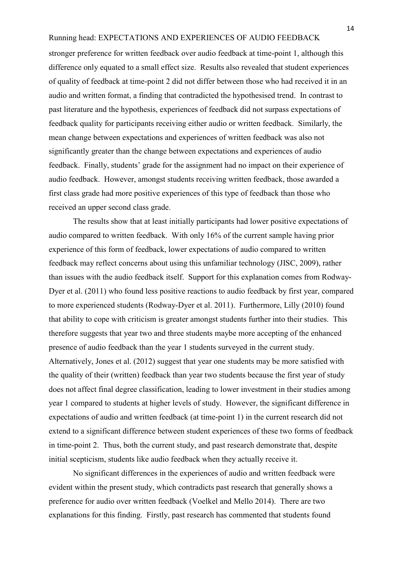stronger preference for written feedback over audio feedback at time-point 1, although this difference only equated to a small effect size. Results also revealed that student experiences of quality of feedback at time-point 2 did not differ between those who had received it in an audio and written format, a finding that contradicted the hypothesised trend. In contrast to past literature and the hypothesis, experiences of feedback did not surpass expectations of feedback quality for participants receiving either audio or written feedback. Similarly, the mean change between expectations and experiences of written feedback was also not significantly greater than the change between expectations and experiences of audio feedback. Finally, students' grade for the assignment had no impact on their experience of audio feedback. However, amongst students receiving written feedback, those awarded a first class grade had more positive experiences of this type of feedback than those who received an upper second class grade.

The results show that at least initially participants had lower positive expectations of audio compared to written feedback. With only 16% of the current sample having prior experience of this form of feedback, lower expectations of audio compared to written feedback may reflect concerns about using this unfamiliar technology (JISC, 2009), rather than issues with the audio feedback itself. Support for this explanation comes from Rodway-Dyer et al. (2011) who found less positive reactions to audio feedback by first year, compared to more experienced students (Rodway-Dyer et al. 2011). Furthermore, Lilly (2010) found that ability to cope with criticism is greater amongst students further into their studies. This therefore suggests that year two and three students maybe more accepting of the enhanced presence of audio feedback than the year 1 students surveyed in the current study. Alternatively, Jones et al. (2012) suggest that year one students may be more satisfied with the quality of their (written) feedback than year two students because the first year of study does not affect final degree classification, leading to lower investment in their studies among year 1 compared to students at higher levels of study. However, the significant difference in expectations of audio and written feedback (at time-point 1) in the current research did not extend to a significant difference between student experiences of these two forms of feedback in time-point 2. Thus, both the current study, and past research demonstrate that, despite initial scepticism, students like audio feedback when they actually receive it.

No significant differences in the experiences of audio and written feedback were evident within the present study, which contradicts past research that generally shows a preference for audio over written feedback (Voelkel and Mello 2014). There are two explanations for this finding. Firstly, past research has commented that students found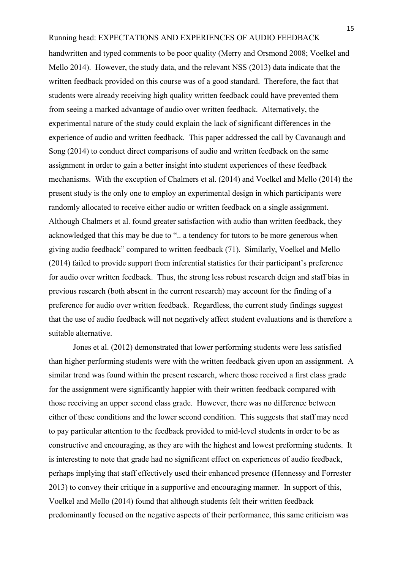handwritten and typed comments to be poor quality (Merry and Orsmond 2008; Voelkel and Mello 2014). However, the study data, and the relevant NSS (2013) data indicate that the written feedback provided on this course was of a good standard. Therefore, the fact that students were already receiving high quality written feedback could have prevented them from seeing a marked advantage of audio over written feedback. Alternatively, the experimental nature of the study could explain the lack of significant differences in the experience of audio and written feedback. This paper addressed the call by Cavanaugh and Song (2014) to conduct direct comparisons of audio and written feedback on the same assignment in order to gain a better insight into student experiences of these feedback mechanisms. With the exception of Chalmers et al. (2014) and Voelkel and Mello (2014) the present study is the only one to employ an experimental design in which participants were randomly allocated to receive either audio or written feedback on a single assignment. Although Chalmers et al. found greater satisfaction with audio than written feedback, they acknowledged that this may be due to ".. a tendency for tutors to be more generous when giving audio feedback" compared to written feedback (71). Similarly, Voelkel and Mello (2014) failed to provide support from inferential statistics for their participant's preference for audio over written feedback. Thus, the strong less robust research deign and staff bias in previous research (both absent in the current research) may account for the finding of a preference for audio over written feedback. Regardless, the current study findings suggest that the use of audio feedback will not negatively affect student evaluations and is therefore a suitable alternative.

Jones et al. (2012) demonstrated that lower performing students were less satisfied than higher performing students were with the written feedback given upon an assignment. A similar trend was found within the present research, where those received a first class grade for the assignment were significantly happier with their written feedback compared with those receiving an upper second class grade. However, there was no difference between either of these conditions and the lower second condition. This suggests that staff may need to pay particular attention to the feedback provided to mid-level students in order to be as constructive and encouraging, as they are with the highest and lowest preforming students. It is interesting to note that grade had no significant effect on experiences of audio feedback, perhaps implying that staff effectively used their enhanced presence (Hennessy and Forrester 2013) to convey their critique in a supportive and encouraging manner. In support of this, Voelkel and Mello (2014) found that although students felt their written feedback predominantly focused on the negative aspects of their performance, this same criticism was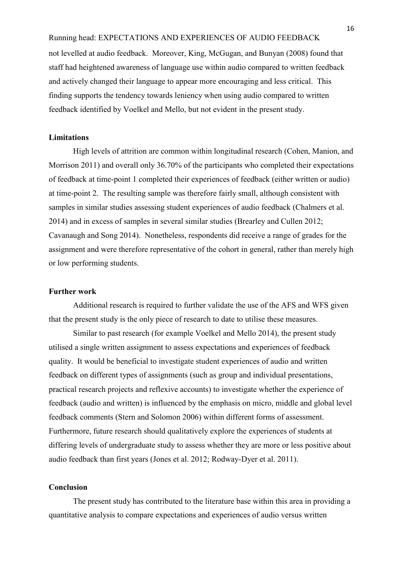not levelled at audio feedback. Moreover, King, McGugan, and Bunyan (2008) found that staff had heightened awareness of language use within audio compared to written feedback and actively changed their language to appear more encouraging and less critical. This finding supports the tendency towards leniency when using audio compared to written feedback identified by Voelkel and Mello, but not evident in the present study.

# **Limitations**

High levels of attrition are common within longitudinal research (Cohen, Manion, and Morrison 2011) and overall only 36.70% of the participants who completed their expectations of feedback at time-point 1 completed their experiences of feedback (either written or audio) at time-point 2. The resulting sample was therefore fairly small, although consistent with samples in similar studies assessing student experiences of audio feedback (Chalmers et al. 2014) and in excess of samples in several similar studies (Brearley and Cullen 2012; Cavanaugh and Song 2014). Nonetheless, respondents did receive a range of grades for the assignment and were therefore representative of the cohort in general, rather than merely high or low performing students.

### **Further work**

Additional research is required to further validate the use of the AFS and WFS given that the present study is the only piece of research to date to utilise these measures.

Similar to past research (for example Voelkel and Mello 2014), the present study utilised a single written assignment to assess expectations and experiences of feedback quality. It would be beneficial to investigate student experiences of audio and written feedback on different types of assignments (such as group and individual presentations, practical research projects and reflexive accounts) to investigate whether the experience of feedback (audio and written) is influenced by the emphasis on micro, middle and global level feedback comments (Stern and Solomon 2006) within different forms of assessment. Furthermore, future research should qualitatively explore the experiences of students at differing levels of undergraduate study to assess whether they are more or less positive about audio feedback than first years (Jones et al. 2012; Rodway-Dyer et al. 2011).

### **Conclusion**

The present study has contributed to the literature base within this area in providing a quantitative analysis to compare expectations and experiences of audio versus written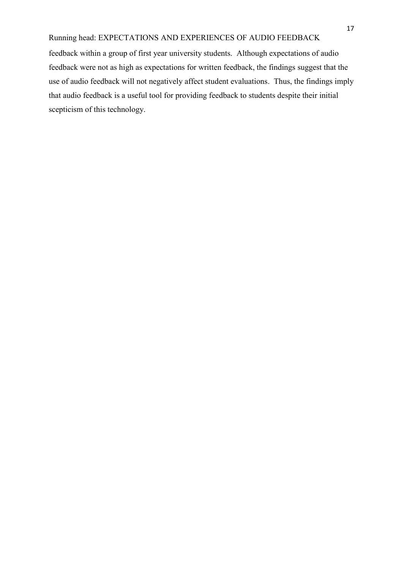feedback within a group of first year university students. Although expectations of audio feedback were not as high as expectations for written feedback, the findings suggest that the use of audio feedback will not negatively affect student evaluations. Thus, the findings imply that audio feedback is a useful tool for providing feedback to students despite their initial scepticism of this technology.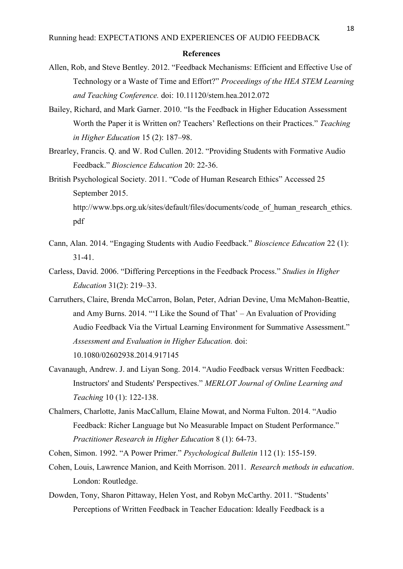#### **References**

- Allen, Rob, and Steve Bentley. 2012. "Feedback Mechanisms: Efficient and Effective Use of Technology or a Waste of Time and Effort?" *Proceedings of the HEA STEM Learning and Teaching Conference.* doi: 10.11120/stem.hea.2012.072
- Bailey, Richard, and Mark Garner. 2010. "Is the Feedback in Higher Education Assessment Worth the Paper it is Written on? Teachers' Reflections on their Practices." *Teaching in Higher Education* 15 (2): 187–98.
- Brearley, Francis. Q. and W. Rod Cullen. 2012. "Providing Students with Formative Audio Feedback." *Bioscience Education* 20: 22-36.
- British Psychological Society. 2011. "Code of Human Research Ethics" Accessed 25 September 2015. http://www.bps.org.uk/sites/default/files/documents/code\_of\_human\_research\_ethics. pdf
- Cann, Alan. 2014. "Engaging Students with Audio Feedback." *Bioscience Education* 22 (1): 31-41.
- Carless, David. 2006. "Differing Perceptions in the Feedback Process." *Studies in Higher Education* 31(2): 219–33.
- Carruthers, Claire, Brenda McCarron, Bolan, Peter, Adrian Devine, Uma McMahon-Beattie, and Amy Burns. 2014. "'I Like the Sound of That' – An Evaluation of Providing Audio Feedback Via the Virtual Learning Environment for Summative Assessment." *Assessment and Evaluation in Higher Education.* doi: 10.1080/02602938.2014.917145
- Cavanaugh, Andrew. J. and Liyan Song. 2014. "Audio Feedback versus Written Feedback: Instructors' and Students' Perspectives." *MERLOT Journal of Online Learning and Teaching* 10 (1): 122-138.
- Chalmers, Charlotte, Janis MacCallum, Elaine Mowat, and Norma Fulton. 2014. "Audio Feedback: Richer Language but No Measurable Impact on Student Performance." *Practitioner Research in Higher Education* 8 (1): 64-73.
- Cohen, Simon. 1992. "A Power Primer." *Psychological Bulletin* 112 (1): 155-159.
- Cohen, Louis, Lawrence Manion, and Keith Morrison. 2011. *Research methods in education*. London: Routledge.
- Dowden, Tony, Sharon Pittaway, Helen Yost, and Robyn McCarthy. 2011. "Students' Perceptions of Written Feedback in Teacher Education: Ideally Feedback is a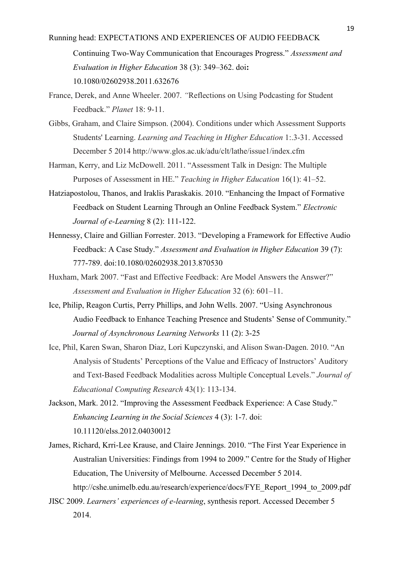Continuing Two-Way Communication that Encourages Progress." *Assessment and Evaluation in Higher Education* 38 (3): 349–362. doi**:**  10.1080/02602938.2011.632676

- France, Derek, and Anne Wheeler. 2007. *"*Reflections on Using Podcasting for Student Feedback." *Planet* 18: 9-11.
- Gibbs, Graham, and Claire Simpson. (2004). Conditions under which Assessment Supports Students' Learning. *Learning and Teaching in Higher Education* 1:.3-31. Accessed December 5 2014 http://www.glos.ac.uk/adu/clt/lathe/issue1/index.cfm
- Harman, Kerry, and Liz McDowell. 2011. "Assessment Talk in Design: The Multiple Purposes of Assessment in HE." *Teaching in Higher Education* 16(1): 41–52.
- Hatziapostolou, Thanos, and Iraklis Paraskakis. 2010. "Enhancing the Impact of Formative Feedback on Student Learning Through an Online Feedback System." *Electronic Journal of e-Learning* 8 (2): 111-122.
- Hennessy, Claire and Gillian Forrester. 2013. "Developing a Framework for Effective Audio Feedback: A Case Study." *Assessment and Evaluation in Higher Education* 39 (7): 777-789. doi:10.1080/02602938.2013.870530
- Huxham, Mark 2007. "Fast and Effective Feedback: Are Model Answers the Answer?" *Assessment and Evaluation in Higher Education* 32 (6): 601–11.
- Ice, Philip, Reagon Curtis, Perry Phillips, and John Wells. 2007. "Using Asynchronous Audio Feedback to Enhance Teaching Presence and Students' Sense of Community." *Journal of Asynchronous Learning Networks* 11 (2): 3-25
- Ice, Phil, Karen Swan, Sharon Diaz, Lori Kupczynski, and Alison Swan-Dagen. 2010. "An Analysis of Students' Perceptions of the Value and Efficacy of Instructors' Auditory and Text-Based Feedback Modalities across Multiple Conceptual Levels." *Journal of Educational Computing Research* 43(1): 113-134.
- Jackson, Mark. 2012. "Improving the Assessment Feedback Experience: A Case Study." *Enhancing Learning in the Social Sciences* 4 (3): 1-7. doi: 10.11120/elss.2012.04030012
- James, Richard, Krri-Lee Krause, and Claire Jennings. 2010. "The First Year Experience in Australian Universities: Findings from 1994 to 2009." Centre for the Study of Higher Education, The University of Melbourne. Accessed December 5 2014.

http://cshe.unimelb.edu.au/research/experience/docs/FYE\_Report\_1994\_to\_2009.pdf

JISC 2009. *Learners' experiences of e-learning*, synthesis report. Accessed December 5 2014.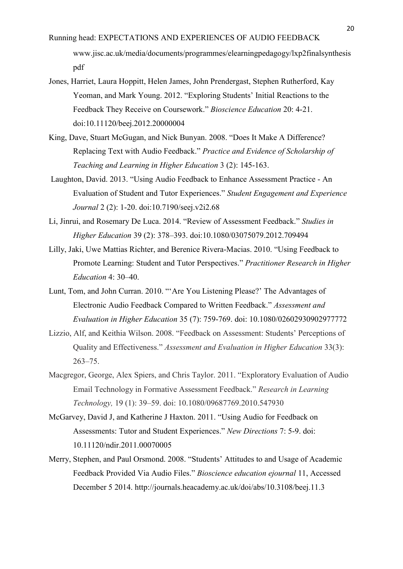- Running head: EXPECTATIONS AND EXPERIENCES OF AUDIO FEEDBACK www.jisc.ac.uk/media/documents/programmes/elearningpedagogy/lxp2finalsynthesis pdf
- Jones, Harriet, Laura Hoppitt, Helen James, John Prendergast, Stephen Rutherford, Kay Yeoman, and Mark Young. 2012. "Exploring Students' Initial Reactions to the Feedback They Receive on Coursework." *Bioscience Education* 20: 4-21. doi:10.11120/beej.2012.20000004
- King, Dave, Stuart McGugan, and Nick Bunyan. 2008. "Does It Make A Difference? Replacing Text with Audio Feedback." *Practice and Evidence of Scholarship of Teaching and Learning in Higher Education* 3 (2): 145-163.
- Laughton, David. 2013. "Using Audio Feedback to Enhance Assessment Practice An Evaluation of Student and Tutor Experiences." *Student Engagement and Experience Journal* 2 (2): 1-20. doi:10.7190/seej.v2i2.68
- Li, Jinrui, and Rosemary De Luca. 2014. "Review of Assessment Feedback." *Studies in Higher Education* 39 (2): 378–393. doi:10.1080/03075079.2012.709494
- Lilly, Jaki, Uwe Mattias Richter, and Berenice Rivera-Macias. 2010. "Using Feedback to Promote Learning: Student and Tutor Perspectives." *Practitioner Research in Higher Education* 4: 30–40.
- Lunt, Tom, and John Curran. 2010. "'Are You Listening Please?' The Advantages of Electronic Audio Feedback Compared to Written Feedback." *Assessment and Evaluation in Higher Education* 35 (7): 759-769. doi: 10.1080/02602930902977772
- Lizzio, Alf, and Keithia Wilson. 2008. "Feedback on Assessment: Students' Perceptions of Quality and Effectiveness." *Assessment and Evaluation in Higher Education* 33(3): 263–75.
- Macgregor, George, Alex Spiers, and Chris Taylor. 2011. "Exploratory Evaluation of Audio Email Technology in Formative Assessment Feedback." *Research in Learning Technology,* 19 (1): 39–59. doi: 10.1080/09687769.2010.547930
- McGarvey, David J, and Katherine J Haxton. 2011. "Using Audio for Feedback on Assessments: Tutor and Student Experiences." *New Directions* 7: 5-9. doi: 10.11120/ndir.2011.00070005
- Merry, Stephen, and Paul Orsmond. 2008. "Students' Attitudes to and Usage of Academic Feedback Provided Via Audio Files." *Bioscience education ejournal* 11, Accessed December 5 2014. http://journals.heacademy.ac.uk/doi/abs/10.3108/beej.11.3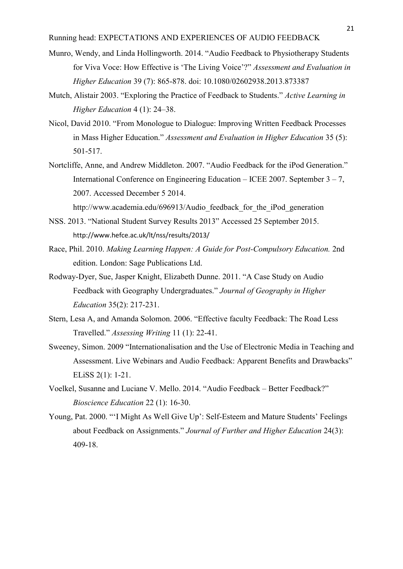- Munro, Wendy, and Linda Hollingworth. 2014. "Audio Feedback to Physiotherapy Students for Viva Voce: How Effective is 'The Living Voice'?" *Assessment and Evaluation in Higher Education* 39 (7): 865-878. doi: 10.1080/02602938.2013.873387
- Mutch, Alistair 2003. "Exploring the Practice of Feedback to Students." *Active Learning in Higher Education* 4 (1): 24–38.
- Nicol, David 2010. "From Monologue to Dialogue: Improving Written Feedback Processes in Mass Higher Education." *Assessment and Evaluation in Higher Education* 35 (5): 501-517.
- Nortcliffe, Anne, and Andrew Middleton. 2007. "Audio Feedback for the iPod Generation." International Conference on Engineering Education – ICEE 2007. September 3 – 7, 2007. Accessed December 5 2014.

http://www.academia.edu/696913/Audio\_feedback\_for\_the\_iPod\_generation

- NSS. 2013. "National Student Survey Results 2013" Accessed 25 September 2015. http://www.hefce.ac.uk/lt/nss/results/2013/
- Race, Phil. 2010. *Making Learning Happen: A Guide for Post-Compulsory Education.* 2nd edition. London: Sage Publications Ltd.
- Rodway-Dyer, Sue, Jasper Knight, Elizabeth Dunne. 2011. "A Case Study on Audio Feedback with Geography Undergraduates." *Journal of Geography in Higher Education* 35(2): 217-231.
- Stern, Lesa A, and Amanda Solomon. 2006. "Effective faculty Feedback: The Road Less Travelled." *Assessing Writing* 11 (1): 22-41.
- Sweeney, Simon. 2009 "Internationalisation and the Use of Electronic Media in Teaching and Assessment. Live Webinars and Audio Feedback: Apparent Benefits and Drawbacks" ELiSS 2(1): 1-21.
- Voelkel, Susanne and Luciane V. Mello. 2014. "Audio Feedback Better Feedback?" *Bioscience Education* 22 (1): 16-30.
- Young, Pat. 2000. "'I Might As Well Give Up': Self-Esteem and Mature Students' Feelings about Feedback on Assignments." *Journal of Further and Higher Education* 24(3): 409-18.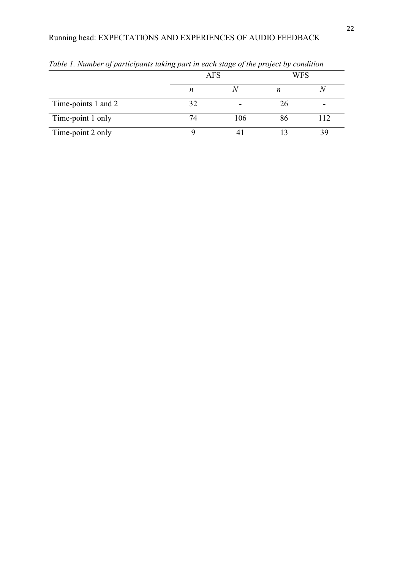|                     | - -<br><b>AFS</b> |     | <b>WFS</b> |     |
|---------------------|-------------------|-----|------------|-----|
|                     | n                 |     | n          |     |
| Time-points 1 and 2 | 32                | -   |            |     |
| Time-point 1 only   | 74                | 106 | 86         | 112 |
| Time-point 2 only   |                   |     |            | 39  |

*Table 1. Number of participants taking part in each stage of the project by condition*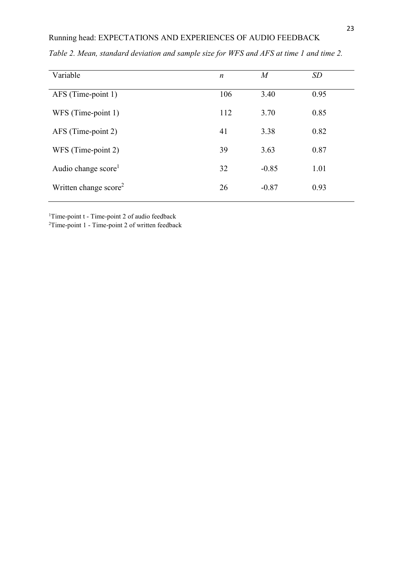| Variable                          | n   | $\overline{M}$ | SD   |
|-----------------------------------|-----|----------------|------|
| AFS (Time-point 1)                | 106 | 3.40           | 0.95 |
| WFS (Time-point 1)                | 112 | 3.70           | 0.85 |
| AFS (Time-point 2)                | 41  | 3.38           | 0.82 |
| WFS (Time-point 2)                | 39  | 3.63           | 0.87 |
| Audio change score <sup>1</sup>   | 32  | $-0.85$        | 1.01 |
| Written change score <sup>2</sup> | 26  | $-0.87$        | 0.93 |

*Table 2. Mean, standard deviation and sample size for WFS and AFS at time 1 and time 2.*

<sup>1</sup>Time-point t - Time-point 2 of audio feedback

<sup>2</sup>Time-point 1 - Time-point 2 of written feedback